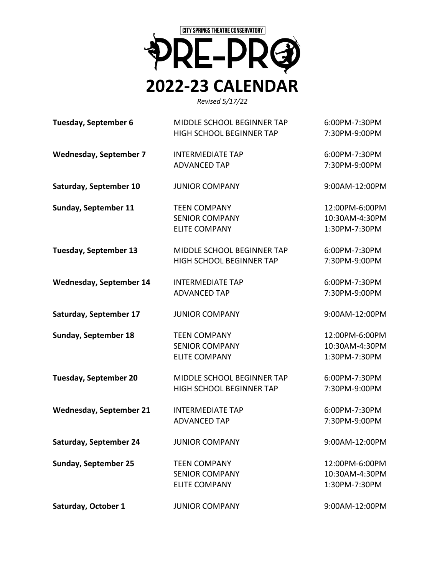

*Revised 5/17/22*

| Tuesday, September 6           | MIDDLE SCHOOL BEGINNER TAP | 6:00PM-7:30PM  |
|--------------------------------|----------------------------|----------------|
|                                | HIGH SCHOOL BEGINNER TAP   | 7:30PM-9:00PM  |
| <b>Wednesday, September 7</b>  | <b>INTERMEDIATE TAP</b>    | 6:00PM-7:30PM  |
|                                | <b>ADVANCED TAP</b>        | 7:30PM-9:00PM  |
| Saturday, September 10         | <b>JUNIOR COMPANY</b>      | 9:00AM-12:00PM |
| <b>Sunday, September 11</b>    | <b>TEEN COMPANY</b>        | 12:00PM-6:00PM |
|                                | <b>SENIOR COMPANY</b>      | 10:30AM-4:30PM |
|                                | <b>ELITE COMPANY</b>       | 1:30PM-7:30PM  |
| <b>Tuesday, September 13</b>   | MIDDLE SCHOOL BEGINNER TAP | 6:00PM-7:30PM  |
|                                | HIGH SCHOOL BEGINNER TAP   | 7:30PM-9:00PM  |
| <b>Wednesday, September 14</b> | <b>INTERMEDIATE TAP</b>    | 6:00PM-7:30PM  |
|                                | <b>ADVANCED TAP</b>        | 7:30PM-9:00PM  |
| Saturday, September 17         | <b>JUNIOR COMPANY</b>      | 9:00AM-12:00PM |
| <b>Sunday, September 18</b>    | <b>TEEN COMPANY</b>        | 12:00PM-6:00PM |
|                                | <b>SENIOR COMPANY</b>      | 10:30AM-4:30PM |
|                                | <b>ELITE COMPANY</b>       | 1:30PM-7:30PM  |
| <b>Tuesday, September 20</b>   | MIDDLE SCHOOL BEGINNER TAP | 6:00PM-7:30PM  |
|                                | HIGH SCHOOL BEGINNER TAP   | 7:30PM-9:00PM  |
| <b>Wednesday, September 21</b> | <b>INTERMEDIATE TAP</b>    | 6:00PM-7:30PM  |
|                                | <b>ADVANCED TAP</b>        | 7:30PM-9:00PM  |
| <b>Saturday, September 24</b>  | <b>JUNIOR COMPANY</b>      | 9:00AM-12:00PM |
| <b>Sunday, September 25</b>    | <b>TEEN COMPANY</b>        | 12:00PM-6:00PM |
|                                | <b>SENIOR COMPANY</b>      | 10:30AM-4:30PM |
|                                | <b>ELITE COMPANY</b>       | 1:30PM-7:30PM  |
| Saturday, October 1            | <b>JUNIOR COMPANY</b>      | 9:00AM-12:00PM |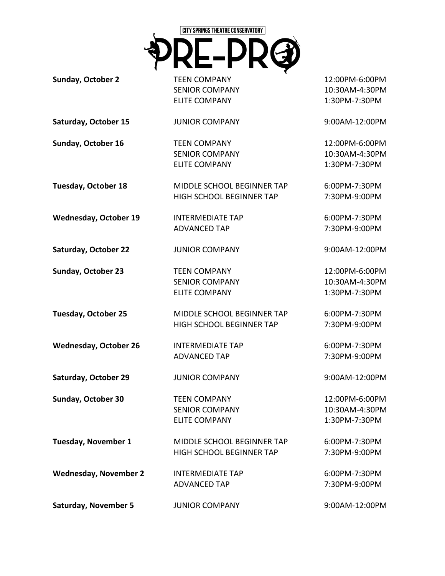

**Sunday, October 2**

TEEN COMPANY SENIOR COMPANY ELITE COMPANY

JUNIOR COMPANY

TEEN COMPANY SENIOR COMPANY ELITE COMPANY

**Saturday, October 15**

**Sunday, October 16**

**Tuesday, October 18**

**Wednesday, October 19**

MIDDLE SCHOOL BEGINNER TAP HIGH SCHOOL BEGINNER TAP

MIDDLE SCHOOL BEGINNER TAP HIGH SCHOOL BEGINNER TAP

MIDDLE SCHOOL BEGINNER TAP HIGH SCHOOL BEGINNER TAP

INTERMEDIATE TAP ADVANCED TAP

**Saturday, October 22** JUNIOR COMPANY

**Sunday, October 23**

TEEN COMPANY SENIOR COMPANY ELITE COMPANY

**Tuesday, October 25**

**Wednesday, October 26**

**Saturday, October 29**

**Sunday, October 30**

**Tuesday, November 1**

**Wednesday, November 2**

JUNIOR COMPANY TEEN COMPANY SENIOR COMPANY

ELITE COMPANY

INTERMEDIATE TAP ADVANCED TAP

INTERMEDIATE TAP ADVANCED TAP

12:00PM-6:00PM 10:30AM-4:30PM 1:30PM-7:30PM

9:00AM-12:00PM

12:00PM-6:00PM 10:30AM-4:30PM 1:30PM-7:30PM

6:00PM-7:30PM 7:30PM-9:00PM

6:00PM-7:30PM 7:30PM-9:00PM

9:00AM-12:00PM

12:00PM-6:00PM 10:30AM-4:30PM 1:30PM-7:30PM

6:00PM-7:30PM 7:30PM-9:00PM

6:00PM-7:30PM 7:30PM-9:00PM

9:00AM-12:00PM

12:00PM-6:00PM 10:30AM-4:30PM 1:30PM-7:30PM

6:00PM-7:30PM 7:30PM-9:00PM

6:00PM-7:30PM 7:30PM-9:00PM

**Saturday, November 5** JUNIOR COMPANY 9:00AM-12:00PM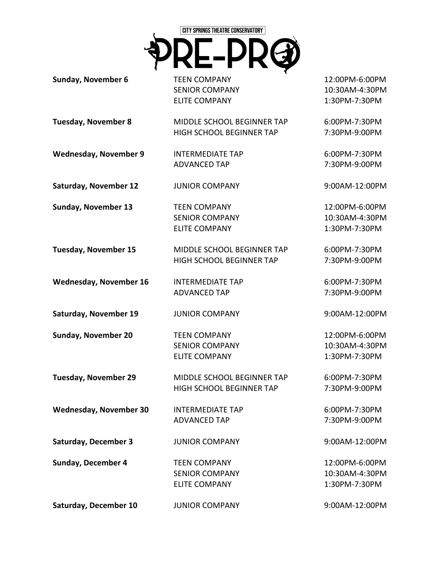

**Sunday, November 6**

TEEN COMPANY SENIOR COMPANY ELITE COMPANY

> INTERMEDIATE TAP ADVANCED TAP

**Tuesday, November 8**

MIDDLE SCHOOL BEGINNER TAP HIGH SCHOOL BEGINNER TAP

**Wednesday, November 9**

**Saturday, November 12**

JUNIOR COMPANY

TEEN COMPANY SENIOR COMPANY ELITE COMPANY

MIDDLE SCHOOL BEGINNER TAP HIGH SCHOOL BEGINNER TAP

**Tuesday, November 15**

**Sunday, November 13**

**Wednesday, November 16**

INTERMEDIATE TAP ADVANCED TAP

INTERMEDIATE TAP

JUNIOR COMPANY

ELITE COMPANY

JUNIOR COMPANY

**Saturday, November 19** JUNIOR COMPANY

**Sunday, November 20** TEEN COMPANY SENIOR COMPANY ELITE COMPANY

**Tuesday, November 29**

**Wednesday, November 30**

**Saturday, December 3**

**Sunday, December 4**

ADVANCED TAP

**Saturday, December 10**

TEEN COMPANY SENIOR COMPANY

MIDDLE SCHOOL BEGINNER TAP HIGH SCHOOL BEGINNER TAP

> 6:00PM-7:30PM 7:30PM-9:00PM

9:00AM-12:00PM

12:00PM-6:00PM 10:30AM-4:30PM 1:30PM-7:30PM

9:00AM-12:00PM

12:00PM-6:00PM 10:30AM-4:30PM 1:30PM-7:30PM

6:00PM-7:30PM 7:30PM-9:00PM

6:00PM-7:30PM 7:30PM-9:00PM

9:00AM-12:00PM

12:00PM-6:00PM 10:30AM-4:30PM 1:30PM-7:30PM

6:00PM-7:30PM 7:30PM-9:00PM

6:00PM-7:30PM 7:30PM-9:00PM

9:00AM-12:00PM

12:00PM-6:00PM 10:30AM-4:30PM 1:30PM-7:30PM

6:00PM-7:30PM 7:30PM-9:00PM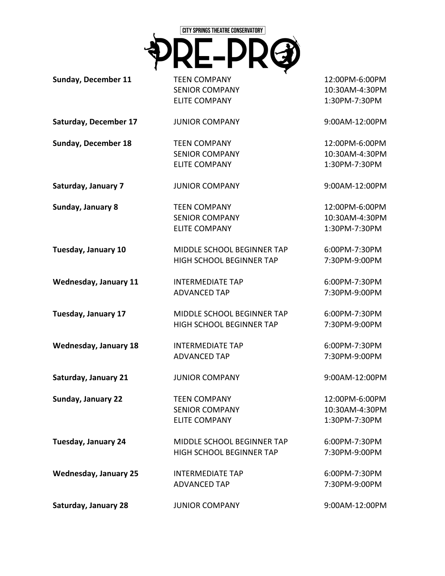

**Sunday, December 11**

TEEN COMPANY SENIOR COMPANY ELITE COMPANY

JUNIOR COMPANY

TEEN COMPANY SENIOR COMPANY ELITE COMPANY

JUNIOR COMPANY

TEEN COMPANY SENIOR COMPANY ELITE COMPANY

**Saturday, December 17**

**Sunday, December 18**

**Saturday, January 7**

**Sunday, January 8**

**Tuesday, January 10**

**Wednesday, January 11**

INTERMEDIATE TAP ADVANCED TAP

MIDDLE SCHOOL BEGINNER TAP HIGH SCHOOL BEGINNER TAP

MIDDLE SCHOOL BEGINNER TAP HIGH SCHOOL BEGINNER TAP

MIDDLE SCHOOL BEGINNER TAP HIGH SCHOOL BEGINNER TAP

**Tuesday, January 17**

**Wednesday, January 18**

**Saturday, January 21**

**Sunday, January 22**

TEEN COMPANY SENIOR COMPANY ELITE COMPANY

INTERMEDIATE TAP ADVANCED TAP

JUNIOR COMPANY

INTERMEDIATE TAP ADVANCED TAP

**Tuesday, January 24**

**Wednesday, January 25**

12:00PM-6:00PM 10:30AM-4:30PM 1:30PM-7:30PM

9:00AM-12:00PM

12:00PM-6:00PM 10:30AM-4:30PM 1:30PM-7:30PM

9:00AM-12:00PM

12:00PM-6:00PM 10:30AM-4:30PM 1:30PM-7:30PM

6:00PM-7:30PM 7:30PM-9:00PM

6:00PM-7:30PM 7:30PM-9:00PM

6:00PM-7:30PM 7:30PM-9:00PM

6:00PM-7:30PM 7:30PM-9:00PM

9:00AM-12:00PM

12:00PM-6:00PM 10:30AM-4:30PM 1:30PM-7:30PM

6:00PM-7:30PM 7:30PM-9:00PM

6:00PM-7:30PM 7:30PM-9:00PM

**Saturday, January 28** JUNIOR COMPANY 9:00AM-12:00PM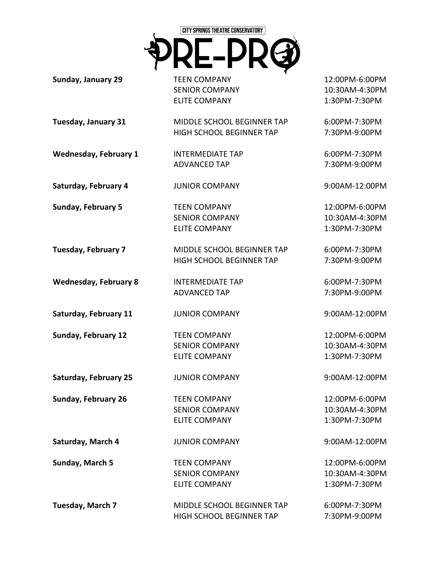

**Sunday, January 29**

TEEN COMPANY SENIOR COMPANY ELITE COMPANY

**Tuesday, January 31**

MIDDLE SCHOOL BEGINNER TAP HIGH SCHOOL BEGINNER TAP

**Wednesday, February 1** INTERMEDIATE TAP ADVANCED TAP

**Saturday, February 4**

**Sunday, February 5**

TEEN COMPANY SENIOR COMPANY ELITE COMPANY

JUNIOR COMPANY

**Tuesday, February 7** MIDDLE SCHOOL BEGINNER TAP HIGH SCHOOL BEGINNER TAP

**Wednesday, February 8**

**Saturday, February 11**

**Sunday, February 12**

INTERMEDIATE TAP ADVANCED TAP

JUNIOR COMPANY

TEEN COMPANY SENIOR COMPANY ELITE COMPANY

**Saturday, February 25** JUNIOR COMPANY

> TEEN COMPANY SENIOR COMPANY ELITE COMPANY

**Saturday, March 4**

**Sunday, February 26**

**Sunday, March 5**

12:00PM-6:00PM 10:30AM-4:30PM 1:30PM-7:30PM

6:00PM-7:30PM 7:30PM-9:00PM

6:00PM-7:30PM 7:30PM-9:00PM

9:00AM-12:00PM

12:00PM-6:00PM 10:30AM-4:30PM 1:30PM-7:30PM

6:00PM-7:30PM 7:30PM-9:00PM

6:00PM-7:30PM 7:30PM-9:00PM

9:00AM-12:00PM

12:00PM-6:00PM 10:30AM-4:30PM 1:30PM-7:30PM

9:00AM-12:00PM

12:00PM-6:00PM 10:30AM-4:30PM 1:30PM-7:30PM

9:00AM-12:00PM

12:00PM-6:00PM 10:30AM-4:30PM 1:30PM-7:30PM

**Tuesday, March 7** MIDDLE SCHOOL BEGINNER TAP HIGH SCHOOL BEGINNER TAP 6:00PM-7:30PM 7:30PM-9:00PM

JUNIOR COMPANY

TEEN COMPANY SENIOR COMPANY ELITE COMPANY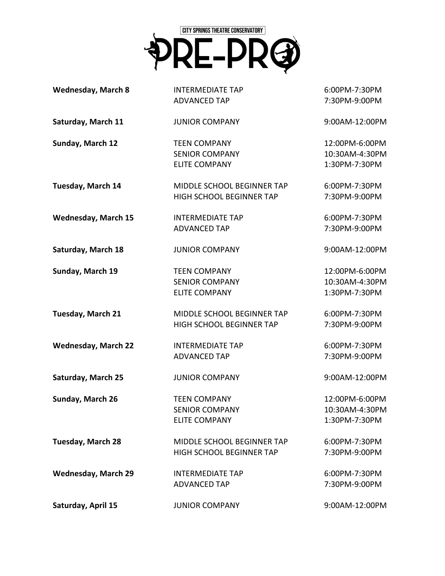

| <b>Wednesday, March 8</b>  | <b>INTERMEDIATE TAP</b><br><b>ADVANCED TAP</b>                       | 6:00PM-7:30PM<br>7:30PM-9:00PM                    |
|----------------------------|----------------------------------------------------------------------|---------------------------------------------------|
| Saturday, March 11         | <b>JUNIOR COMPANY</b>                                                | 9:00AM-12:00PM                                    |
| Sunday, March 12           | <b>TEEN COMPANY</b><br><b>SENIOR COMPANY</b><br><b>ELITE COMPANY</b> | 12:00PM-6:00PM<br>10:30AM-4:30PM<br>1:30PM-7:30PM |
| Tuesday, March 14          | MIDDLE SCHOOL BEGINNER TAP<br>HIGH SCHOOL BEGINNER TAP               | 6:00PM-7:30PM<br>7:30PM-9:00PM                    |
| <b>Wednesday, March 15</b> | <b>INTERMEDIATE TAP</b><br><b>ADVANCED TAP</b>                       | 6:00PM-7:30PM<br>7:30PM-9:00PM                    |
| Saturday, March 18         | <b>JUNIOR COMPANY</b>                                                | 9:00AM-12:00PM                                    |
| Sunday, March 19           | <b>TEEN COMPANY</b><br><b>SENIOR COMPANY</b><br><b>ELITE COMPANY</b> | 12:00PM-6:00PM<br>10:30AM-4:30PM<br>1:30PM-7:30PM |
| <b>Tuesday, March 21</b>   | MIDDLE SCHOOL BEGINNER TAP<br>HIGH SCHOOL BEGINNER TAP               | 6:00PM-7:30PM<br>7:30PM-9:00PM                    |
| <b>Wednesday, March 22</b> | <b>INTERMEDIATE TAP</b><br><b>ADVANCED TAP</b>                       | 6:00PM-7:30PM<br>7:30PM-9:00PM                    |
| Saturday, March 25         | <b>JUNIOR COMPANY</b>                                                | 9:00AM-12:00PM                                    |
| Sunday, March 26           | <b>TEEN COMPANY</b><br><b>SENIOR COMPANY</b><br><b>ELITE COMPANY</b> | 12:00PM-6:00PM<br>10:30AM-4:30PM<br>1:30PM-7:30PM |
| <b>Tuesday, March 28</b>   | MIDDLE SCHOOL BEGINNER TAP<br><b>HIGH SCHOOL BEGINNER TAP</b>        | 6:00PM-7:30PM<br>7:30PM-9:00PM                    |
| <b>Wednesday, March 29</b> | <b>INTERMEDIATE TAP</b><br><b>ADVANCED TAP</b>                       | 6:00PM-7:30PM<br>7:30PM-9:00PM                    |
| Saturday, April 15         | <b>JUNIOR COMPANY</b>                                                | 9:00AM-12:00PM                                    |